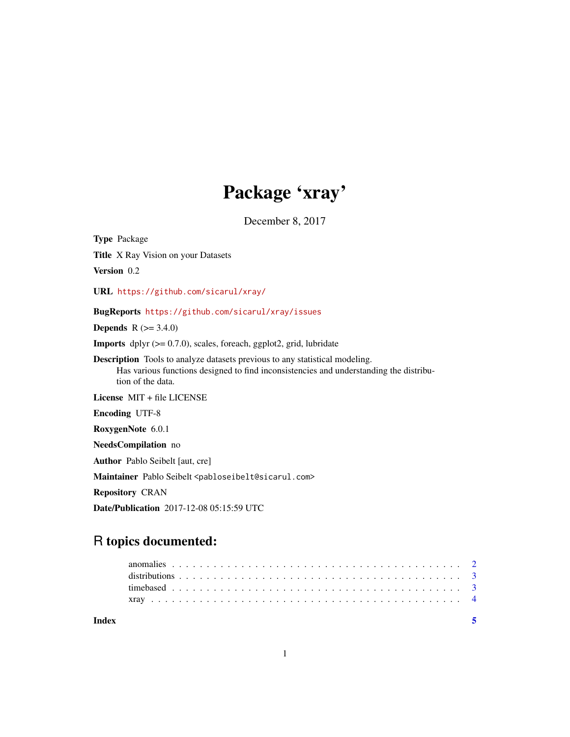# Package 'xray'

December 8, 2017

Type Package

Title X Ray Vision on your Datasets

Version 0.2

URL <https://github.com/sicarul/xray/>

BugReports <https://github.com/sicarul/xray/issues>

**Depends** R  $(>= 3.4.0)$ 

**Imports** dplyr  $(>= 0.7.0)$ , scales, foreach, ggplot2, grid, lubridate

Description Tools to analyze datasets previous to any statistical modeling. Has various functions designed to find inconsistencies and understanding the distribution of the data.

License MIT + file LICENSE

Encoding UTF-8

RoxygenNote 6.0.1

NeedsCompilation no

Author Pablo Seibelt [aut, cre]

Maintainer Pablo Seibelt <pabloseibelt@sicarul.com>

Repository CRAN

Date/Publication 2017-12-08 05:15:59 UTC

# R topics documented:

| Index |  |  |  |  |  |  |  |  |  |  |  |  |  |  |  |  |  |  |  |  |  |
|-------|--|--|--|--|--|--|--|--|--|--|--|--|--|--|--|--|--|--|--|--|--|
|       |  |  |  |  |  |  |  |  |  |  |  |  |  |  |  |  |  |  |  |  |  |
|       |  |  |  |  |  |  |  |  |  |  |  |  |  |  |  |  |  |  |  |  |  |
|       |  |  |  |  |  |  |  |  |  |  |  |  |  |  |  |  |  |  |  |  |  |
|       |  |  |  |  |  |  |  |  |  |  |  |  |  |  |  |  |  |  |  |  |  |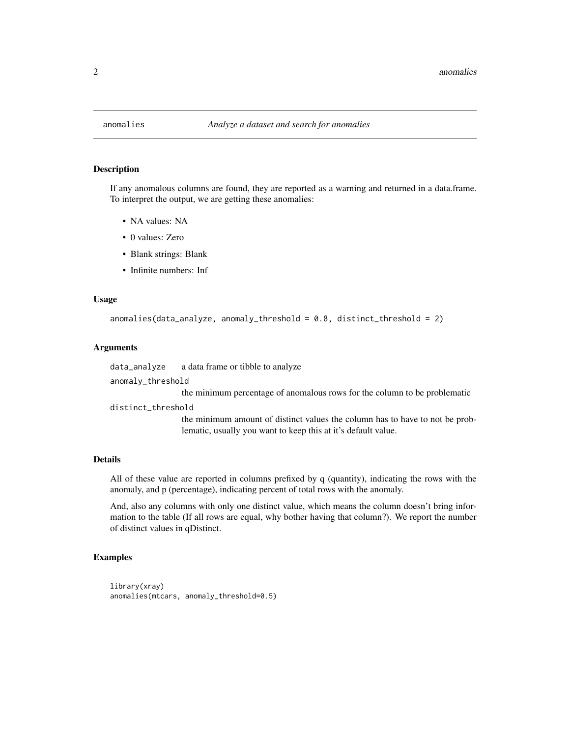<span id="page-1-0"></span>

#### **Description**

If any anomalous columns are found, they are reported as a warning and returned in a data.frame. To interpret the output, we are getting these anomalies:

- NA values: NA
- 0 values: Zero
- Blank strings: Blank
- Infinite numbers: Inf

#### Usage

```
anomalies(data_analyze, anomaly_threshold = 0.8, distinct_threshold = 2)
```
#### Arguments

data\_analyze a data frame or tibble to analyze

anomaly\_threshold

the minimum percentage of anomalous rows for the column to be problematic

distinct\_threshold

the minimum amount of distinct values the column has to have to not be problematic, usually you want to keep this at it's default value.

#### Details

All of these value are reported in columns prefixed by q (quantity), indicating the rows with the anomaly, and p (percentage), indicating percent of total rows with the anomaly.

And, also any columns with only one distinct value, which means the column doesn't bring information to the table (If all rows are equal, why bother having that column?). We report the number of distinct values in qDistinct.

#### Examples

```
library(xray)
anomalies(mtcars, anomaly_threshold=0.5)
```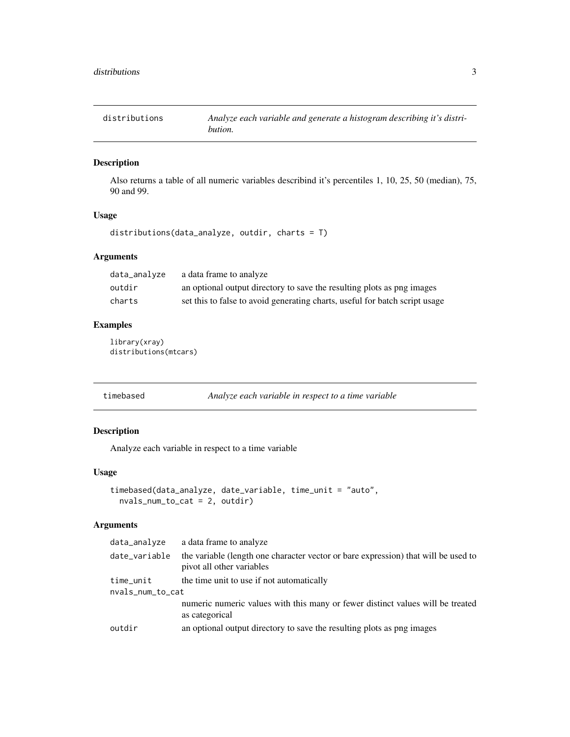<span id="page-2-0"></span>distributions *Analyze each variable and generate a histogram describing it's distribution.*

#### Description

Also returns a table of all numeric variables describind it's percentiles 1, 10, 25, 50 (median), 75, 90 and 99.

#### Usage

distributions(data\_analyze, outdir, charts = T)

#### Arguments

| data_analyze | a data frame to analyze                                                     |
|--------------|-----------------------------------------------------------------------------|
| outdir       | an optional output directory to save the resulting plots as png images      |
| charts       | set this to false to avoid generating charts, useful for batch script usage |

#### Examples

library(xray) distributions(mtcars)

timebased *Analyze each variable in respect to a time variable*

#### Description

Analyze each variable in respect to a time variable

#### Usage

```
timebased(data_analyze, date_variable, time_unit = "auto",
 nvals_num_to_cat = 2, outdir)
```
#### Arguments

| the variable (length one character vector or bare expression) that will be used to<br>date_variable |  |
|-----------------------------------------------------------------------------------------------------|--|
| pivot all other variables                                                                           |  |
| the time unit to use if not automatically<br>time_unit                                              |  |
| nvals_num_to_cat                                                                                    |  |
| numeric numeric values with this many or fewer distinct values will be treated<br>as categorical    |  |
| an optional output directory to save the resulting plots as png images<br>outdir                    |  |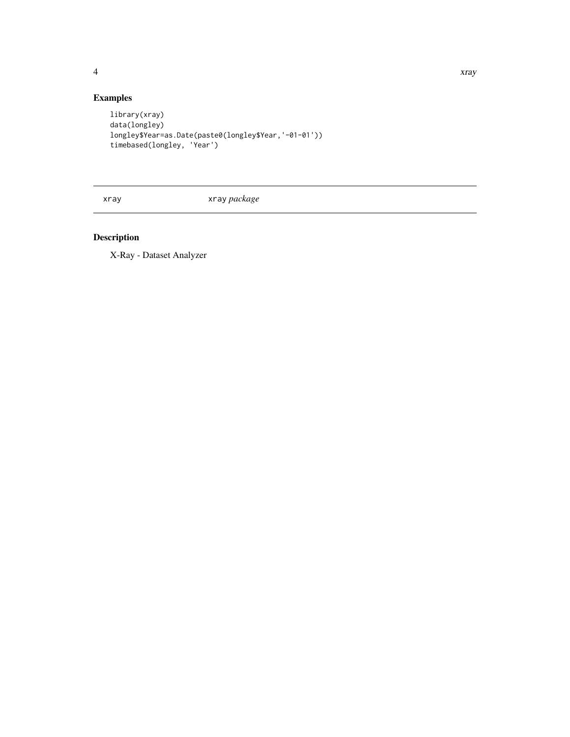<span id="page-3-0"></span>

### Examples

```
library(xray)
data(longley)
longley$Year=as.Date(paste0(longley$Year,'-01-01'))
timebased(longley, 'Year')
```
xray xray *package*

## Description

X-Ray - Dataset Analyzer